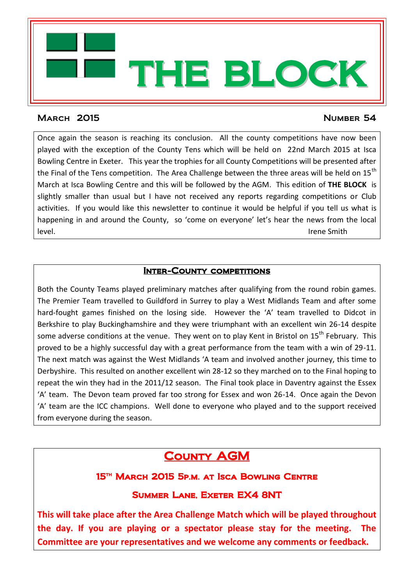

#### MARCH 2015 NUMBER 54

Once again the season is reaching its conclusion. All the county competitions have now been played with the exception of the County Tens which will be held on 22nd March 2015 at Isca Bowling Centre in Exeter. This year the trophies for all County Competitions will be presented after the Final of the Tens competition. The Area Challenge between the three areas will be held on  $15<sup>th</sup>$ March at Isca Bowling Centre and this will be followed by the AGM. This edition of **THE BLOCK** is slightly smaller than usual but I have not received any reports regarding competitions or Club activities. If you would like this newsletter to continue it would be helpful if you tell us what is happening in and around the County, so 'come on everyone' let's hear the news from the local level. Irene Smith

#### **INTER-COUNTY COMPETITIONS**

Both the County Teams played preliminary matches after qualifying from the round robin games. The Premier Team travelled to Guildford in Surrey to play a West Midlands Team and after some hard-fought games finished on the losing side. However the 'A' team travelled to Didcot in Berkshire to play Buckinghamshire and they were triumphant with an excellent win 26-14 despite some adverse conditions at the venue. They went on to play Kent in Bristol on 15<sup>th</sup> February. This proved to be a highly successful day with a great performance from the team with a win of 29-11. The next match was against the West Midlands 'A team and involved another journey, this time to Derbyshire. This resulted on another excellent win 28-12 so they marched on to the Final hoping to repeat the win they had in the 2011/12 season. The Final took place in Daventry against the Essex 'A' team. The Devon team proved far too strong for Essex and won 26-14. Once again the Devon 'A' team are the ICC champions. Well done to everyone who played and to the support received from everyone during the season.

# **COUNTY AGM**

## 15th March 2015 5p.m. at Isca Bowling Centre

## Summer Lane, Exeter EX4 8NT

**This will take place after the Area Challenge Match which will be played throughout the day. If you are playing or a spectator please stay for the meeting. The Committee are your representatives and we welcome any comments or feedback.**